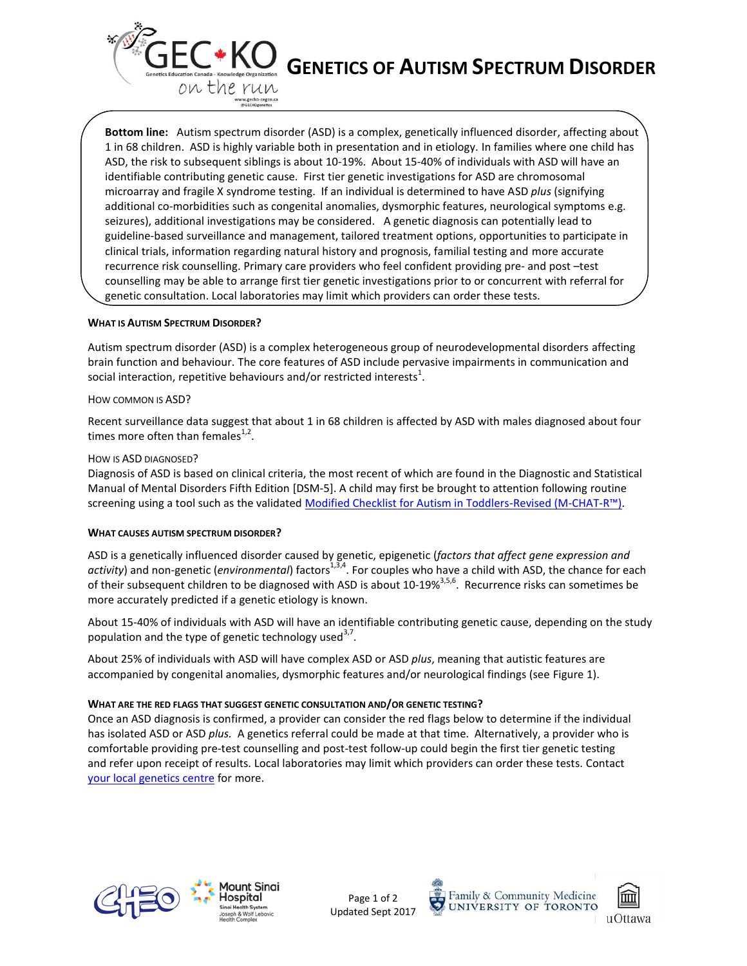

**Bottom line:** Autism spectrum disorder (ASD) is a complex, genetically influenced disorder, affecting about 1 in 68 children. ASD is highly variable both in presentation and in etiology. In families where one child has ASD, the risk to subsequent siblings is about 10-19%. About 15-40% of individuals with ASD will have an identifiable contributing genetic cause. First tier genetic investigations for ASD are chromosomal microarray and fragile X syndrome testing. If an individual is determined to have ASD *plus* (signifying additional co-morbidities such as congenital anomalies, dysmorphic features, neurological symptoms e.g. seizures), additional investigations may be considered. A genetic diagnosis can potentially lead to guideline-based surveillance and management, tailored treatment options, opportunities to participate in clinical trials, information regarding natural history and prognosis, familial testing and more accurate recurrence risk counselling. Primary care providers who feel confident providing pre- and post –test counselling may be able to arrange first tier genetic investigations prior to or concurrent with referral for genetic consultation. Local laboratories may limit which providers can order these tests.

## **WHAT IS AUTISM SPECTRUM DISORDER?**

Autism spectrum disorder (ASD) is a complex heterogeneous group of neurodevelopmental disorders affecting brain function and behaviour. The core features of ASD include pervasive impairments in communication and social interaction, repetitive behaviours and/or restricted interests $^1$ .

## HOW COMMON IS ASD?

Recent surveillance data suggest that about 1 in 68 children is affected by ASD with males diagnosed about four times more often than females $^{1,2}$ .

## HOW IS ASD DIAGNOSED?

Diagnosis of ASD is based on clinical criteria, the most recent of which are found in the Diagnostic and Statistical Manual of Mental Disorders Fifth Edition [DSM-5]. A child may first be brought to attention following routine screening using a tool such as the validated [Modified Checklist for Autism in Toddlers-Revised](http://www.autismspeaks.ca/about-autism/diagnosis/screen-your-child/) (M-CHAT-R™).

## **WHAT CAUSES AUTISM SPECTRUM DISORDER?**

ASD is a genetically influenced disorder caused by genetic, epigenetic (*factors that affect gene expression and*  activity) and non-genetic (*environmental*) factors<sup>1,3,4</sup>. For couples who have a child with ASD, the chance for each of their subsequent children to be diagnosed with ASD is about 10-19%<sup>3,5,6</sup>. Recurrence risks can sometimes be more accurately predicted if a genetic etiology is known.

About 15-40% of individuals with ASD will have an identifiable contributing genetic cause, depending on the study population and the type of genetic technology used<sup>3,7</sup>.

About 25% of individuals with ASD will have complex ASD or ASD *plus*, meaning that autistic features are accompanied by congenital anomalies, dysmorphic features and/or neurological findings (see Figure 1).

# **WHAT ARE THE RED FLAGS THAT SUGGEST GENETIC CONSULTATION AND/OR GENETIC TESTING?**

Once an ASD diagnosis is confirmed, a provider can consider the red flags below to determine if the individual has isolated ASD or ASD *plus.* A genetics referral could be made at that time. Alternatively, a provider who is comfortable providing pre-test counselling and post-test follow-up could begin the first tier genetic testing and refer upon receipt of results. Local laboratories may limit which providers can order these tests. Contact [your local genetics centre](http://geneticseducation.ca/genetics-centres/canada/canadian_clinics/) for more.



1ount Sinai